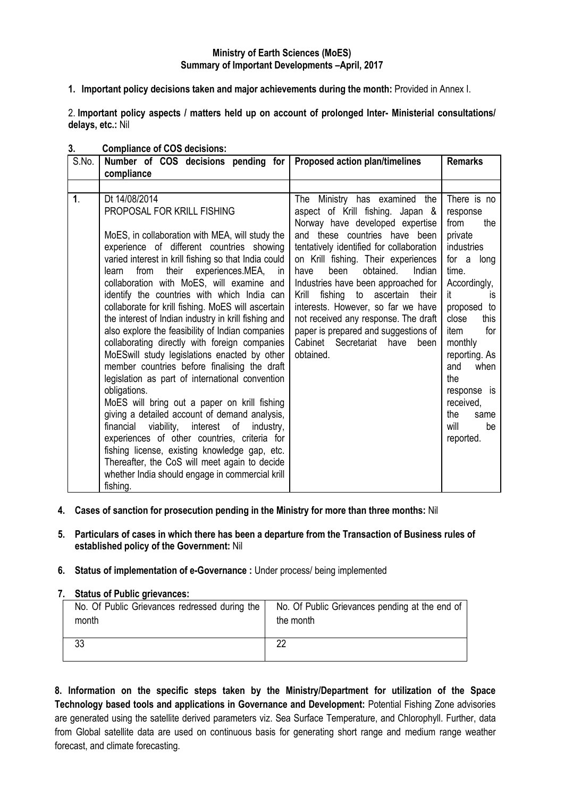### **Ministry of Earth Sciences (MoES) Summary of Important Developments –April, 2017**

**1. Important policy decisions taken and major achievements during the month:** Provided in Annex I.

2. **Important policy aspects / matters held up on account of prolonged Inter- Ministerial consultations/ delays, etc.:** Nil

| S.No.          | Number of COS decisions pending for<br>compliance                                                                                                                                                                                                                                                                                                                                                                                                                                                                                                                                                                                                                                                                                                                                                                                                                                                                                                                                                                                                                                                   | <b>Proposed action plan/timelines</b>                                                                                                                                                                                                                                                                                                                                                                                                                                                                                            | <b>Remarks</b>                                                                                                                                                                                                                                                                                    |
|----------------|-----------------------------------------------------------------------------------------------------------------------------------------------------------------------------------------------------------------------------------------------------------------------------------------------------------------------------------------------------------------------------------------------------------------------------------------------------------------------------------------------------------------------------------------------------------------------------------------------------------------------------------------------------------------------------------------------------------------------------------------------------------------------------------------------------------------------------------------------------------------------------------------------------------------------------------------------------------------------------------------------------------------------------------------------------------------------------------------------------|----------------------------------------------------------------------------------------------------------------------------------------------------------------------------------------------------------------------------------------------------------------------------------------------------------------------------------------------------------------------------------------------------------------------------------------------------------------------------------------------------------------------------------|---------------------------------------------------------------------------------------------------------------------------------------------------------------------------------------------------------------------------------------------------------------------------------------------------|
|                |                                                                                                                                                                                                                                                                                                                                                                                                                                                                                                                                                                                                                                                                                                                                                                                                                                                                                                                                                                                                                                                                                                     |                                                                                                                                                                                                                                                                                                                                                                                                                                                                                                                                  |                                                                                                                                                                                                                                                                                                   |
| $\mathbf{1}$ . | Dt 14/08/2014<br>PROPOSAL FOR KRILL FISHING<br>MoES, in collaboration with MEA, will study the<br>experience of different countries showing<br>varied interest in krill fishing so that India could<br>their experiences.MEA, in<br>from<br>learn<br>collaboration with MoES, will examine and<br>identify the countries with which India can<br>collaborate for krill fishing. MoES will ascertain<br>the interest of Indian industry in krill fishing and<br>also explore the feasibility of Indian companies<br>collaborating directly with foreign companies<br>MoESwill study legislations enacted by other<br>member countries before finalising the draft<br>legislation as part of international convention<br>obligations.<br>MoES will bring out a paper on krill fishing<br>giving a detailed account of demand analysis,<br>financial viability, interest of industry,<br>experiences of other countries, criteria for<br>fishing license, existing knowledge gap, etc.<br>Thereafter, the CoS will meet again to decide<br>whether India should engage in commercial krill<br>fishing. | Ministry has examined<br>the<br>The<br>aspect of Krill fishing. Japan &<br>Norway have developed expertise<br>and these countries have been<br>tentatively identified for collaboration<br>on Krill fishing. Their experiences<br>obtained.<br>been<br>Indian<br>have<br>Industries have been approached for<br>fishing to ascertain<br>Krill<br>their<br>interests. However, so far we have<br>not received any response. The draft<br>paper is prepared and suggestions of<br>Cabinet Secretariat<br>have<br>been<br>obtained. | There is no<br>response<br>from<br>the<br>private<br><b>industries</b><br>for a long<br>time.<br>Accordingly,<br>it<br>İS.<br>proposed to<br>close<br>this<br>for<br>item<br>monthly<br>reporting. As<br>and<br>when<br>the<br>response is<br>received,<br>the<br>same<br>will<br>be<br>reported. |

### **3. Compliance of COS decisions:**

- **4. Cases of sanction for prosecution pending in the Ministry for more than three months:** Nil
- **5. Particulars of cases in which there has been a departure from the Transaction of Business rules of established policy of the Government:** Nil

#### **6. Status of implementation of e-Governance :** Under process/ being implemented

#### **7. Status of Public grievances:**

| No. Of Public Grievances redressed during the | No. Of Public Grievances pending at the end of |
|-----------------------------------------------|------------------------------------------------|
| month                                         | the month                                      |
|                                               | nr                                             |

**8. Information on the specific steps taken by the Ministry/Department for utilization of the Space Technology based tools and applications in Governance and Development:** Potential Fishing Zone advisories are generated using the satellite derived parameters viz. Sea Surface Temperature, and Chlorophyll. Further, data from Global satellite data are used on continuous basis for generating short range and medium range weather forecast, and climate forecasting.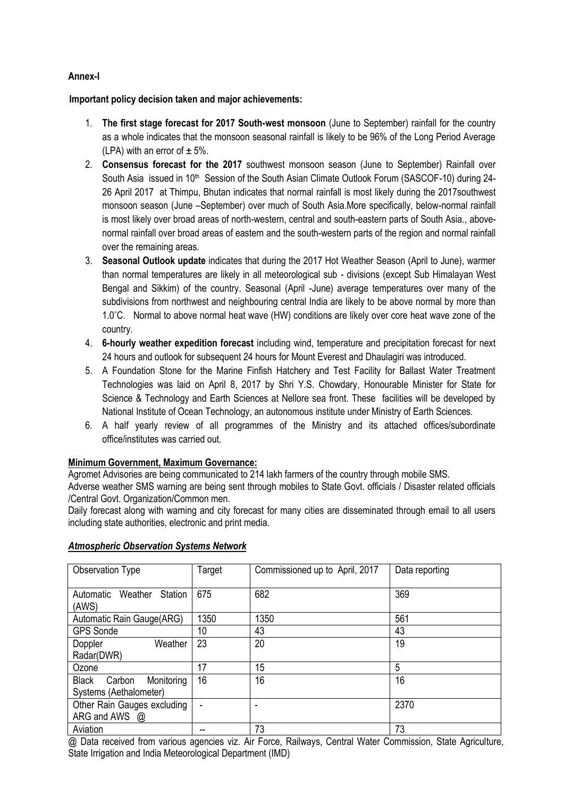# **Annex-I**

**Important policy decision taken and major achievements:**

- 1. **The first stage forecast for 2017 South-west monsoon** (June to September) rainfall for the country as a whole indicates that the monsoon seasonal rainfall is likely to be 96% of the Long Period Average (LPA) with an error of  $\pm$  5%.
- 2. **Consensus forecast for the 2017** southwest monsoon season (June to September) Rainfall over South Asia issued in 10<sup>th</sup> Session of the South Asian Climate Outlook Forum (SASCOF-10) during 24-26 April 2017 at Thimpu, Bhutan indicates that normal rainfall is most likely during the 2017southwest monsoon season (June –September) over much of South Asia.More specifically, below-normal rainfall is most likely over broad areas of north-western, central and south-eastern parts of South Asia., abovenormal rainfall over broad areas of eastern and the south-western parts of the region and normal rainfall over the remaining areas.
- 3. **Seasonal Outlook update** indicates that during the 2017 Hot Weather Season (April to June), warmer than normal temperatures are likely in all meteorological sub - divisions (except Sub Himalayan West Bengal and Sikkim) of the country. Seasonal (April -June) average temperatures over many of the subdivisions from northwest and neighbouring central India are likely to be above normal by more than 1.0°C. Normal to above normal heat wave (HW) conditions are likely over core heat wave zone of the country.
- 4. **6-hourly weather expedition forecast** including wind, temperature and precipitation forecast for next 24 hours and outlook for subsequent 24 hours for Mount Everest and Dhaulagiri was introduced.
- 5. A Foundation Stone for the Marine Finfish Hatchery and Test Facility for Ballast Water Treatment Technologies was laid on April 8, 2017 by Shri Y.S. Chowdary, Honourable Minister for State for Science & Technology and Earth Sciences at Nellore sea front. These facilities will be developed by National Institute of Ocean Technology, an autonomous institute under Ministry of Earth Sciences.
- 6. A half yearly review of all programmes of the Ministry and its attached offices/subordinate office/institutes was carried out.

# **Minimum Government, Maximum Governance:**

Agromet Advisories are being communicated to 214 lakh farmers of the country through mobile SMS.

Adverse weather SMS warning are being sent through mobiles to State Govt. officials / Disaster related officials /Central Govt. Organization/Common men.

Daily forecast along with warning and city forecast for many cities are disseminated through email to all users including state authorities, electronic and print media.

| Observation Type                         | Target          | Commissioned up to April, 2017 | Data reporting |
|------------------------------------------|-----------------|--------------------------------|----------------|
| Station<br>Weather<br>Automatic<br>(AWS) | 675             | 682                            | 369            |
| Automatic Rain Gauge(ARG)                | 1350            | 1350                           | 561            |
| <b>GPS Sonde</b>                         | 10 <sup>°</sup> | 43                             | 43             |
| Weather<br>Doppler                       | 23              | 20                             | 19             |
| Radar(DWR)                               |                 |                                |                |
| Ozone                                    | 17              | 15                             | 5              |
| <b>Black</b><br>Monitoring<br>Carbon     | 16              | 16                             | 16             |
| Systems (Aethalometer)                   |                 |                                |                |
| Other Rain Gauges excluding              |                 | -                              | 2370           |
| ARG and AWS $\omega$                     |                 |                                |                |
| Aviation                                 |                 | 73                             | 73             |

# *Atmospheric Observation Systems Network*

@ Data received from various agencies viz. Air Force, Railways, Central Water Commission, State Agriculture, State Irrigation and India Meteorological Department (IMD)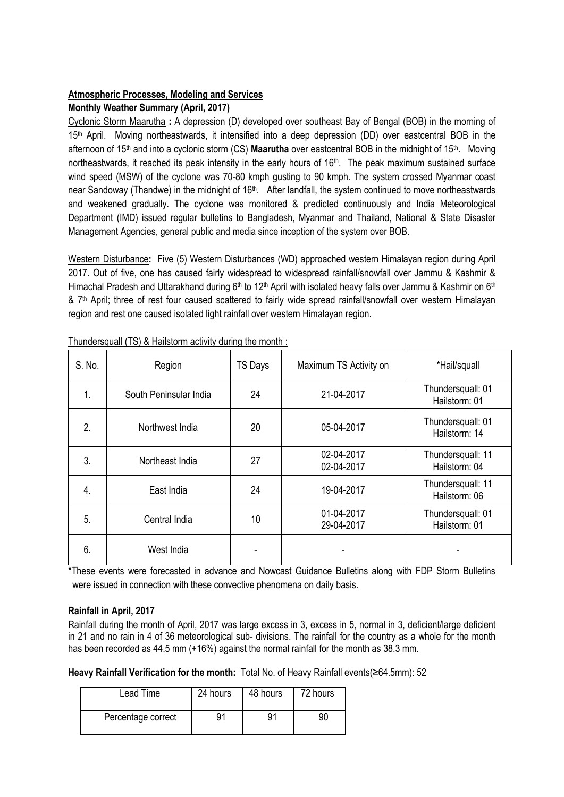# **Atmospheric Processes, Modeling and Services**

# **Monthly Weather Summary (April, 2017)**

Cyclonic Storm Maarutha **:** A depression (D) developed over southeast Bay of Bengal (BOB) in the morning of 15<sup>th</sup> April. Moving northeastwards, it intensified into a deep depression (DD) over eastcentral BOB in the afternoon of 15<sup>th</sup> and into a cyclonic storm (CS) **Maarutha** over eastcentral BOB in the midnight of 15<sup>th</sup>. Moving northeastwards, it reached its peak intensity in the early hours of 16<sup>th</sup>. The peak maximum sustained surface wind speed (MSW) of the cyclone was 70-80 kmph gusting to 90 kmph. The system crossed Myanmar coast near Sandoway (Thandwe) in the midnight of 16<sup>th</sup>. After landfall, the system continued to move northeastwards and weakened gradually. The cyclone was monitored & predicted continuously and India Meteorological Department (IMD) issued regular bulletins to Bangladesh, Myanmar and Thailand, National & State Disaster Management Agencies, general public and media since inception of the system over BOB.

Western Disturbance**:** Five (5) Western Disturbances (WD) approached western Himalayan region during April 2017. Out of five, one has caused fairly widespread to widespread rainfall/snowfall over Jammu & Kashmir & Himachal Pradesh and Uttarakhand during 6<sup>th</sup> to 12<sup>th</sup> April with isolated heavy falls over Jammu & Kashmir on 6<sup>th</sup> & 7<sup>th</sup> April; three of rest four caused scattered to fairly wide spread rainfall/snowfall over western Himalayan region and rest one caused isolated light rainfall over western Himalayan region.

| S. No. | Region                 | <b>TS Days</b> | Maximum TS Activity on   | *Hail/squall                       |
|--------|------------------------|----------------|--------------------------|------------------------------------|
| 1.     | South Peninsular India | 24             | 21-04-2017               | Thundersquall: 01<br>Hailstorm: 01 |
| 2.     | Northwest India        | 20             | 05-04-2017               | Thundersquall: 01<br>Hailstorm: 14 |
| 3.     | Northeast India        | 27             | 02-04-2017<br>02-04-2017 | Thundersquall: 11<br>Hailstorm: 04 |
| 4.     | East India             | 24             | 19-04-2017               | Thundersquall: 11<br>Hailstorm: 06 |
| 5.     | Central India          | 10             | 01-04-2017<br>29-04-2017 | Thundersquall: 01<br>Hailstorm: 01 |
| 6.     | West India             |                |                          |                                    |

Thundersquall (TS) & Hailstorm activity during the month :

\*These events were forecasted in advance and Nowcast Guidance Bulletins along with FDP Storm Bulletins were issued in connection with these convective phenomena on daily basis.

# **Rainfall in April, 2017**

Rainfall during the month of April, 2017 was large excess in 3, excess in 5, normal in 3, deficient/large deficient in 21 and no rain in 4 of 36 meteorological sub- divisions. The rainfall for the country as a whole for the month has been recorded as 44.5 mm (+16%) against the normal rainfall for the month as 38.3 mm.

**Heavy Rainfall Verification for the month:** Total No. of Heavy Rainfall events(≥64.5mm): 52

| Lead Time          | 24 hours | 48 hours | 72 hours |
|--------------------|----------|----------|----------|
| Percentage correct | 91       | 91       | 90       |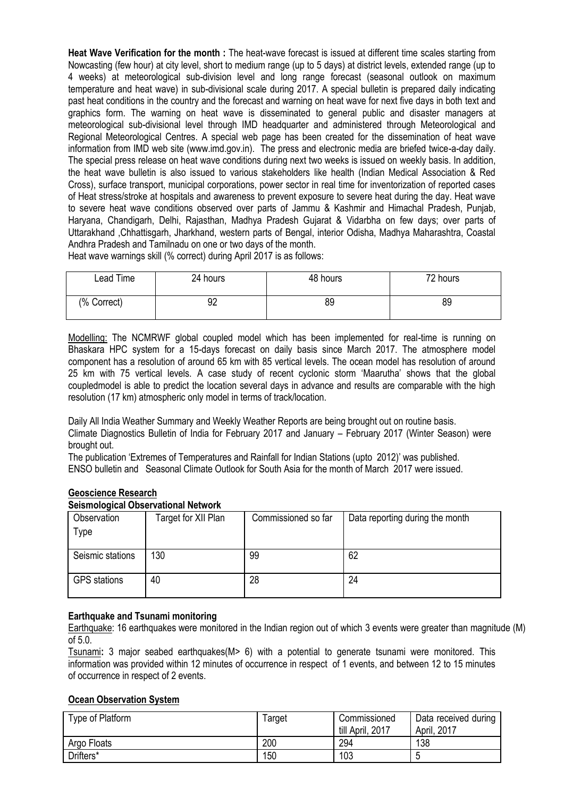**Heat Wave Verification for the month :** The heat-wave forecast is issued at different time scales starting from Nowcasting (few hour) at city level, short to medium range (up to 5 days) at district levels, extended range (up to 4 weeks) at meteorological sub-division level and long range forecast (seasonal outlook on maximum temperature and heat wave) in sub-divisional scale during 2017. A special bulletin is prepared daily indicating past heat conditions in the country and the forecast and warning on heat wave for next five days in both text and graphics form. The warning on heat wave is disseminated to general public and disaster managers at meteorological sub-divisional level through IMD headquarter and administered through Meteorological and Regional Meteorological Centres. A special web page has been created for the dissemination of heat wave information from IMD web site (www.imd.gov.in). The press and electronic media are briefed twice-a-day daily. The special press release on heat wave conditions during next two weeks is issued on weekly basis. In addition, the heat wave bulletin is also issued to various stakeholders like health (Indian Medical Association & Red Cross), surface transport, municipal corporations, power sector in real time for inventorization of reported cases of Heat stress/stroke at hospitals and awareness to prevent exposure to severe heat during the day. Heat wave to severe heat wave conditions observed over parts of Jammu & Kashmir and Himachal Pradesh, Punjab, Haryana, Chandigarh, Delhi, Rajasthan, Madhya Pradesh Gujarat & Vidarbha on few days; over parts of Uttarakhand ,Chhattisgarh, Jharkhand, western parts of Bengal, interior Odisha, Madhya Maharashtra, Coastal Andhra Pradesh and Tamilnadu on one or two days of the month.

Heat wave warnings skill (% correct) during April 2017 is as follows:

| Lead Time   | 24 hours | 48 hours | <sup>7</sup> 2 hours |
|-------------|----------|----------|----------------------|
| (% Correct) | 92       | 89       | 89                   |

Modelling: The NCMRWF global coupled model which has been implemented for real-time is running on Bhaskara HPC system for a 15-days forecast on daily basis since March 2017. The atmosphere model component has a resolution of around 65 km with 85 vertical levels. The ocean model has resolution of around 25 km with 75 vertical levels. A case study of recent cyclonic storm "Maarutha" shows that the global coupledmodel is able to predict the location several days in advance and results are comparable with the high resolution (17 km) atmospheric only model in terms of track/location.

Daily All India Weather Summary and Weekly Weather Reports are being brought out on routine basis. Climate Diagnostics Bulletin of India for February 2017 and January – February 2017 (Winter Season) were brought out.

The publication "Extremes of Temperatures and Rainfall for Indian Stations (upto 2012)" was published. ENSO bulletin and Seasonal Climate Outlook for South Asia for the month of March 2017 were issued.

# **Geoscience Research**

#### **Seismological Observational Network**

| Observation<br>Type | Target for XII Plan | Commissioned so far | Data reporting during the month |
|---------------------|---------------------|---------------------|---------------------------------|
| Seismic stations    | 130                 | 99                  | 62                              |
| <b>GPS</b> stations | 40                  | 28                  | 24                              |

### **Earthquake and Tsunami monitoring**

Earthquake: 16 earthquakes were monitored in the Indian region out of which 3 events were greater than magnitude (M) of 5.0.

Tsunami**:** 3 major seabed earthquakes(M> 6) with a potential to generate tsunami were monitored. This information was provided within 12 minutes of occurrence in respect of 1 events, and between 12 to 15 minutes of occurrence in respect of 2 events.

# **Ocean Observation System**

| Type of Platform | Target | Commissioned<br>till April, 2017 | Data received during<br>April, 2017 |
|------------------|--------|----------------------------------|-------------------------------------|
| Argo Floats      | 200    | 294                              | 138                                 |
| Drifters*        | 150    | 103                              | h<br>u                              |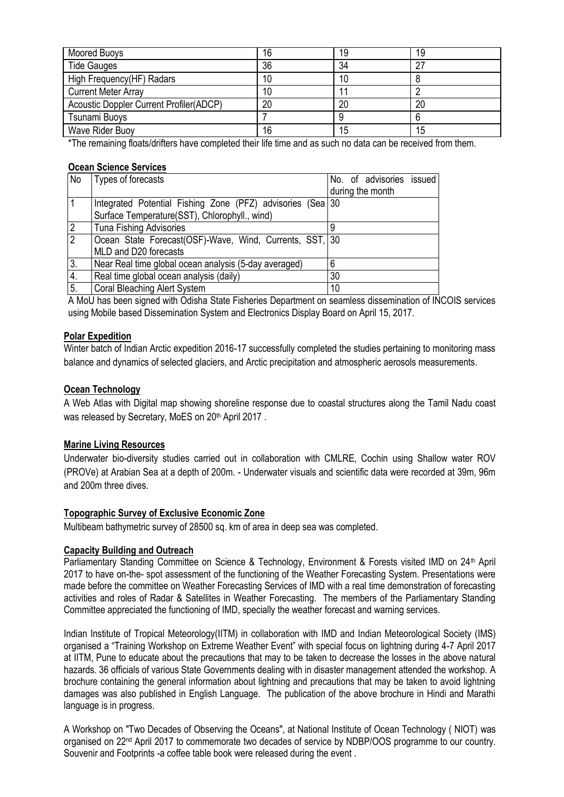| Moored Buoys                            | 16 | 19 | 19 |
|-----------------------------------------|----|----|----|
| <b>Tide Gauges</b>                      | 36 | 34 | רמ |
| High Frequency(HF) Radars               | 10 | 10 |    |
| <b>Current Meter Array</b>              | 10 |    |    |
| Acoustic Doppler Current Profiler(ADCP) | 20 | 20 | 20 |
| Tsunami Buoys                           |    |    |    |
| Wave Rider Buoy                         | 16 | 15 | 15 |

\*The remaining floats/drifters have completed their life time and as such no data can be received from them.

### **Ocean Science Services**

| No | Types of forecasts                                         | No. of advisories issued |
|----|------------------------------------------------------------|--------------------------|
|    |                                                            | during the month         |
|    | Integrated Potential Fishing Zone (PFZ) advisories (Sea 30 |                          |
|    | Surface Temperature(SST), Chlorophyll., wind)              |                          |
| 2  | <b>Tuna Fishing Advisories</b>                             |                          |
| 2  | Ocean State Forecast (OSF)-Wave, Wind, Currents, SST, 30   |                          |
|    | MLD and D20 forecasts                                      |                          |
| 3. | Near Real time global ocean analysis (5-day averaged)      | 6                        |
| 4. | Real time global ocean analysis (daily)                    | 30                       |
| 5. | <b>Coral Bleaching Alert System</b>                        | 10                       |

A MoU has been signed with Odisha State Fisheries Department on seamless dissemination of INCOIS services using Mobile based Dissemination System and Electronics Display Board on April 15, 2017.

### **Polar Expedition**

Winter batch of Indian Arctic expedition 2016-17 successfully completed the studies pertaining to monitoring mass balance and dynamics of selected glaciers, and Arctic precipitation and atmospheric aerosols measurements.

# **Ocean Technology**

A Web Atlas with Digital map showing shoreline response due to coastal structures along the Tamil Nadu coast was released by Secretary, MoES on 20<sup>th</sup> April 2017.

# **Marine Living Resources**

Underwater bio-diversity studies carried out in collaboration with CMLRE, Cochin using Shallow water ROV (PROVe) at Arabian Sea at a depth of 200m. - Underwater visuals and scientific data were recorded at 39m, 96m and 200m three dives.

# **Topographic Survey of Exclusive Economic Zone**

Multibeam bathymetric survey of 28500 sq. km of area in deep sea was completed.

# **Capacity Building and Outreach**

Parliamentary Standing Committee on Science & Technology, Environment & Forests visited IMD on 24<sup>th</sup> April 2017 to have on-the- spot assessment of the functioning of the Weather Forecasting System. Presentations were made before the committee on Weather Forecasting Services of IMD with a real time demonstration of forecasting activities and roles of Radar & Satellites in Weather Forecasting. The members of the Parliamentary Standing Committee appreciated the functioning of IMD, specially the weather forecast and warning services.

Indian Institute of Tropical Meteorology(IITM) in collaboration with IMD and Indian Meteorological Society (IMS) organised a "Training Workshop on Extreme Weather Event" with special focus on lightning during 4-7 April 2017 at IITM, Pune to educate about the precautions that may to be taken to decrease the losses in the above natural hazards. 36 officials of various State Governments dealing with in disaster management attended the workshop. A brochure containing the general information about lightning and precautions that may be taken to avoid lightning damages was also published in English Language. The publication of the above brochure in Hindi and Marathi language is in progress.

A Workshop on "Two Decades of Observing the Oceans", at National Institute of Ocean Technology ( NIOT) was organised on 22nd April 2017 to commemorate two decades of service by NDBP/OOS programme to our country. Souvenir and Footprints -a coffee table book were released during the event .